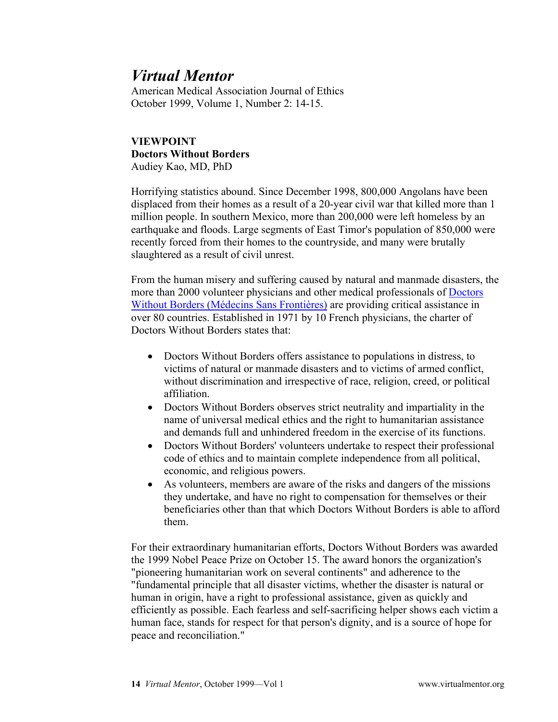## *Virtual Mentor*

American Medical Association Journal of Ethics October 1999, Volume 1, Number 2: 14-15.

## **VIEWPOINT Doctors Without Borders** Audiey Kao, MD, PhD

Horrifying statistics abound. Since December 1998, 800,000 Angolans have been displaced from their homes as a result of a 20-year civil war that killed more than 1 million people. In southern Mexico, more than 200,000 were left homeless by an earthquake and floods. Large segments of East Timor's population of 850,000 were recently forced from their homes to the countryside, and many were brutally slaughtered as a result of civil unrest.

From the human misery and suffering caused by natural and manmade disasters, the more than 2000 volunteer physicians and other medical professionals of [Doctors](http://www.dwb.org/index.htm)  [Without Borders \(Médecins Sans Frontières\)](http://www.dwb.org/index.htm) are providing critical assistance in over 80 countries. Established in 1971 by 10 French physicians, the charter of Doctors Without Borders states that:

- Doctors Without Borders offers assistance to populations in distress, to victims of natural or manmade disasters and to victims of armed conflict, without discrimination and irrespective of race, religion, creed, or political affiliation.
- Doctors Without Borders observes strict neutrality and impartiality in the name of universal medical ethics and the right to humanitarian assistance and demands full and unhindered freedom in the exercise of its functions.
- Doctors Without Borders' volunteers undertake to respect their professional code of ethics and to maintain complete independence from all political, economic, and religious powers.
- As volunteers, members are aware of the risks and dangers of the missions they undertake, and have no right to compensation for themselves or their beneficiaries other than that which Doctors Without Borders is able to afford them.

For their extraordinary humanitarian efforts, Doctors Without Borders was awarded the 1999 Nobel Peace Prize on October 15. The award honors the organization's "pioneering humanitarian work on several continents" and adherence to the "fundamental principle that all disaster victims, whether the disaster is natural or human in origin, have a right to professional assistance, given as quickly and efficiently as possible. Each fearless and self-sacrificing helper shows each victim a human face, stands for respect for that person's dignity, and is a source of hope for peace and reconciliation."